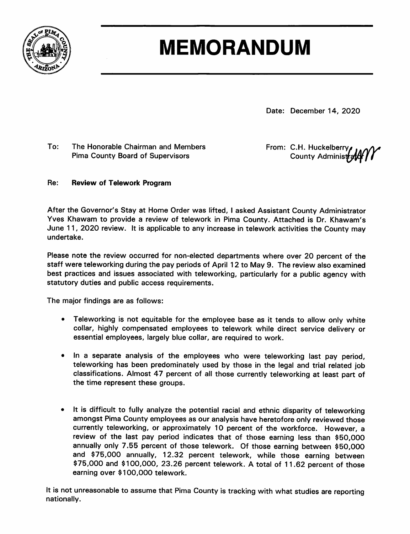

# **MEMORANDUM**

Date: December 14, 2020

#### $To:$ The Honorable Chairman and Members **Pima County Board of Supervisors**

From: C.H. Huckelberry County Administrate

#### Re: **Review of Telework Program**

After the Governor's Stay at Home Order was lifted, I asked Assistant County Administrator Yves Khawam to provide a review of telework in Pima County. Attached is Dr. Khawam's June 11, 2020 review. It is applicable to any increase in telework activities the County may undertake.

Please note the review occurred for non-elected departments where over 20 percent of the staff were teleworking during the pay periods of April 12 to May 9. The review also examined best practices and issues associated with teleworking, particularly for a public agency with statutory duties and public access requirements.

The major findings are as follows:

- Teleworking is not equitable for the employee base as it tends to allow only white collar, highly compensated employees to telework while direct service delivery or essential employees, largely blue collar, are required to work.
- In a separate analysis of the employees who were teleworking last pay period, teleworking has been predominately used by those in the legal and trial related job classifications. Almost 47 percent of all those currently teleworking at least part of the time represent these groups.
- It is difficult to fully analyze the potential racial and ethnic disparity of teleworking amongst Pima County employees as our analysis have heretofore only reviewed those currently teleworking, or approximately 10 percent of the workforce. However, a review of the last pay period indicates that of those earning less than \$50,000 annually only 7.55 percent of those telework. Of those earning between \$50,000 and \$75,000 annually, 12.32 percent telework, while those earning between \$75,000 and \$100,000, 23.26 percent telework. A total of 11.62 percent of those earning over \$100,000 telework.

It is not unreasonable to assume that Pima County is tracking with what studies are reporting nationally.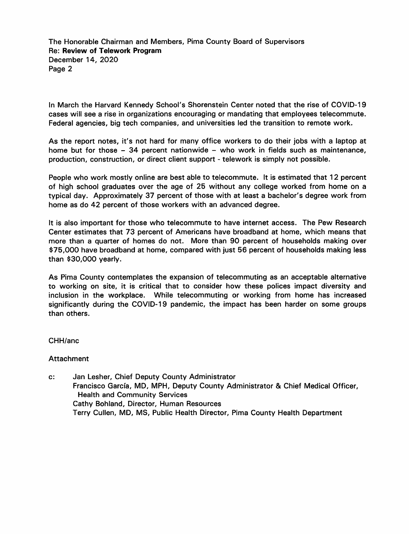The Honorable Chairman and Members, Pima County Board of Supervisors **Re: Review of Telework Program** December 14, 2020 Page 2

In March the Harvard Kennedy School's Shorenstein Center noted that the rise of COVID-19 cases will see a rise in organizations encouraging or mandating that employees telecommute. Federal agencies, big tech companies, and universities led the transition to remote work.

As the report notes, it's not hard for many office workers to do their jobs with a laptop at home but for those - 34 percent nationwide - who work in fields such as maintenance, production, construction, or direct client support - telework is simply not possible.

People who work mostly online are best able to telecommute. It is estimated that 12 percent of high school graduates over the age of 25 without any college worked from home on a typical day. Approximately 37 percent of those with at least a bachelor's degree work from home as do 42 percent of those workers with an advanced degree.

It is also important for those who telecommute to have internet access. The Pew Research Center estimates that 73 percent of Americans have broadband at home, which means that more than a quarter of homes do not. More than 90 percent of households making over \$75,000 have broadband at home, compared with just 56 percent of households making less than \$30,000 yearly.

As Pima County contemplates the expansion of telecommuting as an acceptable alternative to working on site, it is critical that to consider how these polices impact diversity and inclusion in the workplace. While telecommuting or working from home has increased significantly during the COVID-19 pandemic, the impact has been harder on some groups than others.

#### CHH/anc

#### **Attachment**

 $\mathbf{c}$ : Jan Lesher, Chief Deputy County Administrator Francisco García, MD, MPH, Deputy County Administrator & Chief Medical Officer, **Health and Community Services** Cathy Bohland, Director, Human Resources Terry Cullen, MD, MS, Public Health Director, Pima County Health Department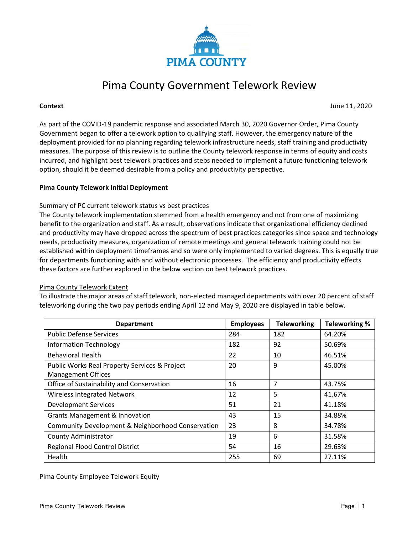

## Pima County Government Telework Review

**Context** June 11, 2020

As part of the COVID-19 pandemic response and associated March 30, 2020 Governor Order, Pima County Government began to offer a telework option to qualifying staff. However, the emergency nature of the deployment provided for no planning regarding telework infrastructure needs, staff training and productivity measures. The purpose of this review is to outline the County telework response in terms of equity and costs incurred, and highlight best telework practices and steps needed to implement a future functioning telework option, should it be deemed desirable from a policy and productivity perspective.

#### **Pima County Telework Initial Deployment**

#### Summary of PC current telework status vs best practices

The County telework implementation stemmed from a health emergency and not from one of maximizing benefit to the organization and staff. As a result, observations indicate that organizational efficiency declined and productivity may have dropped across the spectrum of best practices categories since space and technology needs, productivity measures, organization of remote meetings and general telework training could not be established within deployment timeframes and so were only implemented to varied degrees. This is equally true for departments functioning with and without electronic processes. The efficiency and productivity effects these factors are further explored in the below section on best telework practices.

#### Pima County Telework Extent

To illustrate the major areas of staff telework, non-elected managed departments with over 20 percent of staff teleworking during the two pay periods ending April 12 and May 9, 2020 are displayed in table below.

| <b>Department</b>                                 | <b>Employees</b> | <b>Teleworking</b> | <b>Teleworking %</b> |
|---------------------------------------------------|------------------|--------------------|----------------------|
| <b>Public Defense Services</b>                    | 284              | 182                | 64.20%               |
| <b>Information Technology</b>                     | 182              | 92                 | 50.69%               |
| <b>Behavioral Health</b>                          | 22               | 10                 | 46.51%               |
| Public Works Real Property Services & Project     | 20               | 9                  | 45.00%               |
| <b>Management Offices</b>                         |                  |                    |                      |
| Office of Sustainability and Conservation         | 16               | 7                  | 43.75%               |
| Wireless Integrated Network                       | 12               | 5                  | 41.67%               |
| <b>Development Services</b>                       | 51               | 21                 | 41.18%               |
| <b>Grants Management &amp; Innovation</b>         | 43               | 15                 | 34.88%               |
| Community Development & Neighborhood Conservation | 23               | 8                  | 34.78%               |
| <b>County Administrator</b>                       | 19               | 6                  | 31.58%               |
| <b>Regional Flood Control District</b>            | 54               | 16                 | 29.63%               |
| <b>Health</b>                                     | 255              | 69                 | 27.11%               |

#### Pima County Employee Telework Equity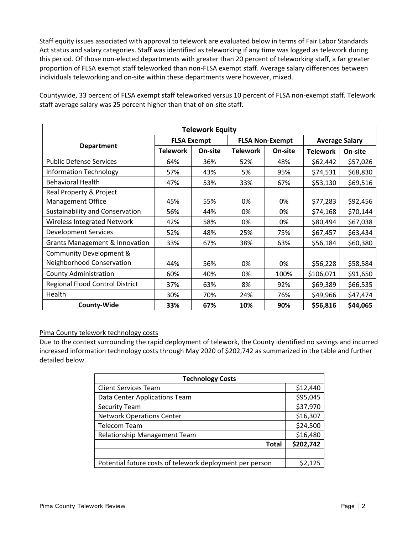Staff equity issues associated with approval to telework are evaluated below in terms of Fair Labor Standards Act status and salary categories. Staff was identified as teleworking if any time was logged as telework during this period. Of those non-elected departments with greater than 20 percent of teleworking staff, a far greater proportion of FLSA exempt staff teleworked than non-FLSA exempt staff. Average salary differences between individuals teleworking and on-site within these departments were however, mixed.

| <b>Telework Equity</b>                    |                    |         |                        |         |                       |          |  |  |  |
|-------------------------------------------|--------------------|---------|------------------------|---------|-----------------------|----------|--|--|--|
| <b>Department</b>                         | <b>FLSA Exempt</b> |         | <b>FLSA Non-Exempt</b> |         | <b>Average Salary</b> |          |  |  |  |
|                                           | <b>Telework</b>    | On-site | <b>Telework</b>        | On-site | <b>Telework</b>       | On-site  |  |  |  |
| <b>Public Defense Services</b>            | 64%                | 36%     | 52%                    | 48%     | \$62,442              | \$57,026 |  |  |  |
| <b>Information Technology</b>             | 57%                | 43%     | 5%                     | 95%     | \$74,531              | \$68,830 |  |  |  |
| <b>Behavioral Health</b>                  | 47%                | 53%     | 33%                    | 67%     | \$53,130              | \$69,516 |  |  |  |
| Real Property & Project                   |                    |         |                        |         |                       |          |  |  |  |
| Management Office                         | 45%                | 55%     | 0%                     | 0%      | \$77,283              | \$92,456 |  |  |  |
| Sustainability and Conservation           | 56%                | 44%     | 0%                     | 0%      | \$74,168              | \$70,144 |  |  |  |
| <b>Wireless Integrated Network</b>        | 42%                | 58%     | 0%                     | 0%      | \$80,494              | \$67,038 |  |  |  |
| <b>Development Services</b>               | 52%                | 48%     | 25%                    | 75%     | \$67,457              | \$63,434 |  |  |  |
| <b>Grants Management &amp; Innovation</b> | 33%                | 67%     | 38%                    | 63%     | \$56,184              | \$60,380 |  |  |  |
| Community Development &                   |                    |         |                        |         |                       |          |  |  |  |
| Neighborhood Conservation                 | 44%                | 56%     | 0%                     | 0%      | \$56,228              | \$58,584 |  |  |  |
| <b>County Administration</b>              | 60%                | 40%     | 0%                     | 100%    | \$106,071             | \$91,650 |  |  |  |
| Regional Flood Control District           | 37%                | 63%     | 8%                     | 92%     | \$69,389              | \$66,535 |  |  |  |
| Health                                    | 30%                | 70%     | 24%                    | 76%     | \$49,966              | \$47,474 |  |  |  |
| <b>County-Wide</b>                        | 33%                | 67%     | 10%                    | 90%     | \$56,816              | \$44,065 |  |  |  |

Countywide, 33 percent of FLSA exempt staff teleworked versus 10 percent of FLSA non-exempt staff. Telework staff average salary was 25 percent higher than that of on-site staff.

#### Pima County telework technology costs

Due to the context surrounding the rapid deployment of telework, the County identified no savings and incurred increased information technology costs through May 2020 of \$202,742 as summarized in the table and further detailed below.

| <b>Technology Costs</b>                                  |           |  |  |  |
|----------------------------------------------------------|-----------|--|--|--|
| <b>Client Services Team</b>                              | \$12,440  |  |  |  |
| Data Center Applications Team                            | \$95,045  |  |  |  |
| <b>Security Team</b>                                     | \$37,970  |  |  |  |
| <b>Network Operations Center</b>                         | \$16,307  |  |  |  |
| <b>Telecom Team</b>                                      | \$24,500  |  |  |  |
| Relationship Management Team                             | \$16,480  |  |  |  |
| Total                                                    | \$202,742 |  |  |  |
|                                                          |           |  |  |  |
| Potential future costs of telework deployment per person | \$2,125   |  |  |  |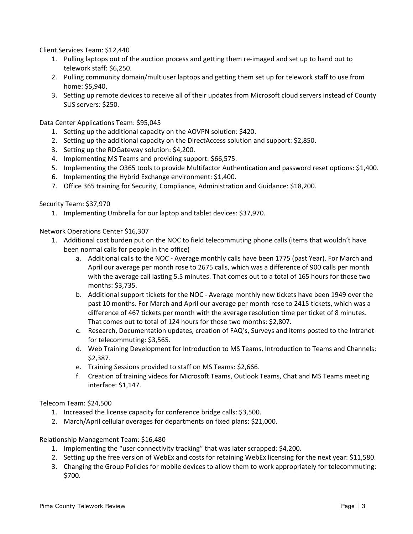Client Services Team: \$12,440

- 1. Pulling laptops out of the auction process and getting them re-imaged and set up to hand out to telework staff: \$6,250.
- 2. Pulling community domain/multiuser laptops and getting them set up for telework staff to use from home: \$5,940.
- 3. Setting up remote devices to receive all of their updates from Microsoft cloud servers instead of County SUS servers: \$250.

Data Center Applications Team: \$95,045

- 1. Setting up the additional capacity on the AOVPN solution: \$420.
- 2. Setting up the additional capacity on the DirectAccess solution and support: \$2,850.
- 3. Setting up the RDGateway solution: \$4,200.
- 4. Implementing MS Teams and providing support: \$66,575.
- 5. Implementing the O365 tools to provide Multifactor Authentication and password reset options: \$1,400.
- 6. Implementing the Hybrid Exchange environment: \$1,400.
- 7. Office 365 training for Security, Compliance, Administration and Guidance: \$18,200.

Security Team: \$37,970

1. Implementing Umbrella for our laptop and tablet devices: \$37,970.

Network Operations Center \$16,307

- 1. Additional cost burden put on the NOC to field telecommuting phone calls (items that wouldn't have been normal calls for people in the office)
	- a. Additional calls to the NOC Average monthly calls have been 1775 (past Year). For March and April our average per month rose to 2675 calls, which was a difference of 900 calls per month with the average call lasting 5.5 minutes. That comes out to a total of 165 hours for those two months: \$3,735.
	- b. Additional support tickets for the NOC Average monthly new tickets have been 1949 over the past 10 months. For March and April our average per month rose to 2415 tickets, which was a difference of 467 tickets per month with the average resolution time per ticket of 8 minutes. That comes out to total of 124 hours for those two months: \$2,807.
	- c. Research, Documentation updates, creation of FAQ's, Surveys and items posted to the Intranet for telecommuting: \$3,565.
	- d. Web Training Development for Introduction to MS Teams, Introduction to Teams and Channels: \$2,387.
	- e. Training Sessions provided to staff on MS Teams: \$2,666.
	- f. Creation of training videos for Microsoft Teams, Outlook Teams, Chat and MS Teams meeting interface: \$1,147.

Telecom Team: \$24,500

- 1. Increased the license capacity for conference bridge calls: \$3,500.
- 2. March/April cellular overages for departments on fixed plans: \$21,000.

Relationship Management Team: \$16,480

- 1. Implementing the "user connectivity tracking" that was later scrapped: \$4,200.
- 2. Setting up the free version of WebEx and costs for retaining WebEx licensing for the next year: \$11,580.
- 3. Changing the Group Policies for mobile devices to allow them to work appropriately for telecommuting: \$700.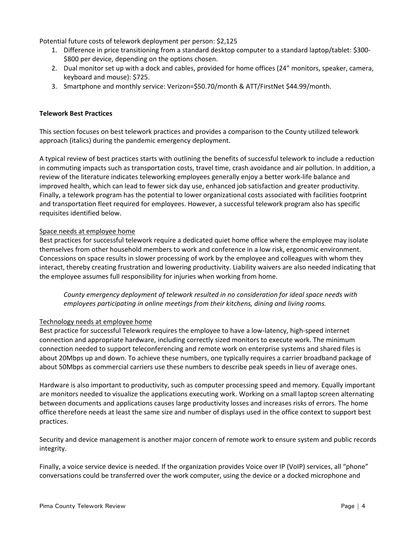Potential future costs of telework deployment per person: \$2,125

- 1. Difference in price transitioning from a standard desktop computer to a standard laptop/tablet: \$300- \$800 per device, depending on the options chosen.
- 2. Dual monitor set up with a dock and cables, provided for home offices (24" monitors, speaker, camera, keyboard and mouse): \$725.
- 3. Smartphone and monthly service: Verizon=\$50.70/month & ATT/FirstNet \$44.99/month.

### **Telework Best Practices**

This section focuses on best telework practices and provides a comparison to the County utilized telework approach (italics) during the pandemic emergency deployment.

A typical review of best practices starts with outlining the benefits of successful telework to include a reduction in commuting impacts such as transportation costs, travel time, crash avoidance and air pollution. In addition, a review of the literature indicates teleworking employees generally enjoy a better work-life balance and improved health, which can lead to fewer sick day use, enhanced job satisfaction and greater productivity. Finally, a telework program has the potential to lower organizational costs associated with facilities footprint and transportation fleet required for employees. However, a successful telework program also has specific requisites identified below.

#### Space needs at employee home

Best practices for successful telework require a dedicated quiet home office where the employee may isolate themselves from other household members to work and conference in a low risk, ergonomic environment. Concessions on space results in slower processing of work by the employee and colleagues with whom they interact, thereby creating frustration and lowering productivity. Liability waivers are also needed indicating that the employee assumes full responsibility for injuries when working from home.

*County emergency deployment of telework resulted in no consideration for ideal space needs with employees participating in online meetings from their kitchens, dining and living rooms.*

#### Technology needs at employee home

Best practice for successful Telework requires the employee to have a low-latency, high-speed internet connection and appropriate hardware, including correctly sized monitors to execute work. The minimum connection needed to support teleconferencing and remote work on enterprise systems and shared files is about 20Mbps up and down. To achieve these numbers, one typically requires a carrier broadband package of about 50Mbps as commercial carriers use these numbers to describe peak speeds in lieu of average ones.

Hardware is also important to productivity, such as computer processing speed and memory. Equally important are monitors needed to visualize the applications executing work. Working on a small laptop screen alternating between documents and applications causes large productivity losses and increases risks of errors. The home office therefore needs at least the same size and number of displays used in the office context to support best practices.

Security and device management is another major concern of remote work to ensure system and public records integrity.

Finally, a voice service device is needed. If the organization provides Voice over IP (VoIP) services, all "phone" conversations could be transferred over the work computer, using the device or a docked microphone and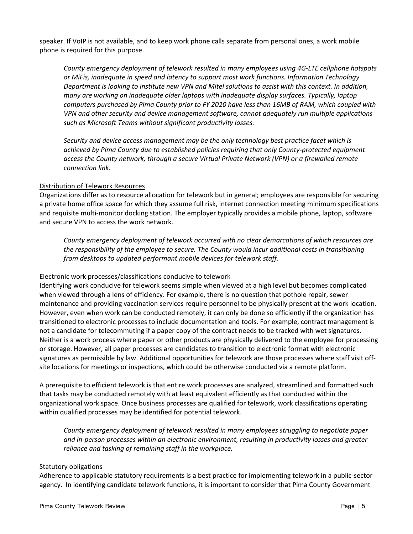speaker. If VoIP is not available, and to keep work phone calls separate from personal ones, a work mobile phone is required for this purpose.

*County emergency deployment of telework resulted in many employees using 4G-LTE cellphone hotspots or MiFis, inadequate in speed and latency to support most work functions. Information Technology Department is looking to institute new VPN and Mitel solutions to assist with this context. In addition, many are working on inadequate older laptops with inadequate display surfaces. Typically, laptop computers purchased by Pima County prior to FY 2020 have less than 16MB of RAM, which coupled with VPN and other security and device management software, cannot adequately run multiple applications such as Microsoft Teams without significant productivity losses.*

*Security and device access management may be the only technology best practice facet which is achieved by Pima County due to established policies requiring that only County-protected equipment access the County network, through a secure Virtual Private Network (VPN) or a firewalled remote connection link.*

#### Distribution of Telework Resources

Organizations differ as to resource allocation for telework but in general; employees are responsible for securing a private home office space for which they assume full risk, internet connection meeting minimum specifications and requisite multi-monitor docking station. The employer typically provides a mobile phone, laptop, software and secure VPN to access the work network.

*County emergency deployment of telework occurred with no clear demarcations of which resources are the responsibility of the employee to secure. The County would incur additional costs in transitioning from desktops to updated performant mobile devices for telework staff.*

#### Electronic work processes/classifications conducive to telework

Identifying work conducive for telework seems simple when viewed at a high level but becomes complicated when viewed through a lens of efficiency. For example, there is no question that pothole repair, sewer maintenance and providing vaccination services require personnel to be physically present at the work location. However, even when work can be conducted remotely, it can only be done so efficiently if the organization has transitioned to electronic processes to include documentation and tools. For example, contract management is not a candidate for telecommuting if a paper copy of the contract needs to be tracked with wet signatures. Neither is a work process where paper or other products are physically delivered to the employee for processing or storage. However, all paper processes are candidates to transition to electronic format with electronic signatures as permissible by law. Additional opportunities for telework are those processes where staff visit offsite locations for meetings or inspections, which could be otherwise conducted via a remote platform.

A prerequisite to efficient telework is that entire work processes are analyzed, streamlined and formatted such that tasks may be conducted remotely with at least equivalent efficiently as that conducted within the organizational work space. Once business processes are qualified for telework, work classifications operating within qualified processes may be identified for potential telework.

*County emergency deployment of telework resulted in many employees struggling to negotiate paper and in-person processes within an electronic environment, resulting in productivity losses and greater reliance and tasking of remaining staff in the workplace.*

#### Statutory obligations

Adherence to applicable statutory requirements is a best practice for implementing telework in a public-sector agency. In identifying candidate telework functions, it is important to consider that Pima County Government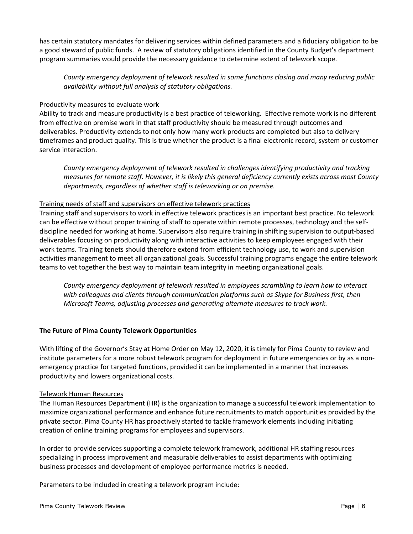has certain statutory mandates for delivering services within defined parameters and a fiduciary obligation to be a good steward of public funds. A review of statutory obligations identified in the County Budget's department program summaries would provide the necessary guidance to determine extent of telework scope.

*County emergency deployment of telework resulted in some functions closing and many reducing public availability without full analysis of statutory obligations.*

#### Productivity measures to evaluate work

Ability to track and measure productivity is a best practice of teleworking. Effective remote work is no different from effective on premise work in that staff productivity should be measured through outcomes and deliverables. Productivity extends to not only how many work products are completed but also to delivery timeframes and product quality. This is true whether the product is a final electronic record, system or customer service interaction.

*County emergency deployment of telework resulted in challenges identifying productivity and tracking measures for remote staff. However, it is likely this general deficiency currently exists across most County departments, regardless of whether staff is teleworking or on premise.*

#### Training needs of staff and supervisors on effective telework practices

Training staff and supervisors to work in effective telework practices is an important best practice. No telework can be effective without proper training of staff to operate within remote processes, technology and the selfdiscipline needed for working at home. Supervisors also require training in shifting supervision to output-based deliverables focusing on productivity along with interactive activities to keep employees engaged with their work teams. Training tenets should therefore extend from efficient technology use, to work and supervision activities management to meet all organizational goals. Successful training programs engage the entire telework teams to vet together the best way to maintain team integrity in meeting organizational goals.

*County emergency deployment of telework resulted in employees scrambling to learn how to interact with colleagues and clients through communication platforms such as Skype for Business first, then Microsoft Teams, adjusting processes and generating alternate measures to track work.*

#### **The Future of Pima County Telework Opportunities**

With lifting of the Governor's Stay at Home Order on May 12, 2020, it is timely for Pima County to review and institute parameters for a more robust telework program for deployment in future emergencies or by as a nonemergency practice for targeted functions, provided it can be implemented in a manner that increases productivity and lowers organizational costs.

#### Telework Human Resources

The Human Resources Department (HR) is the organization to manage a successful telework implementation to maximize organizational performance and enhance future recruitments to match opportunities provided by the private sector. Pima County HR has proactively started to tackle framework elements including initiating creation of online training programs for employees and supervisors.

In order to provide services supporting a complete telework framework, additional HR staffing resources specializing in process improvement and measurable deliverables to assist departments with optimizing business processes and development of employee performance metrics is needed.

Parameters to be included in creating a telework program include: